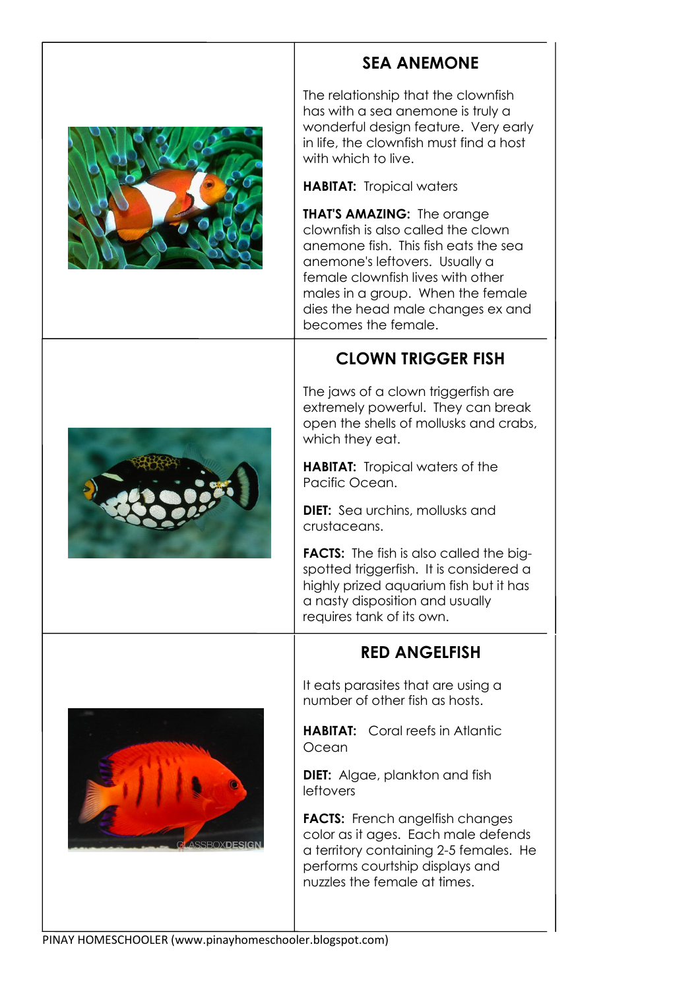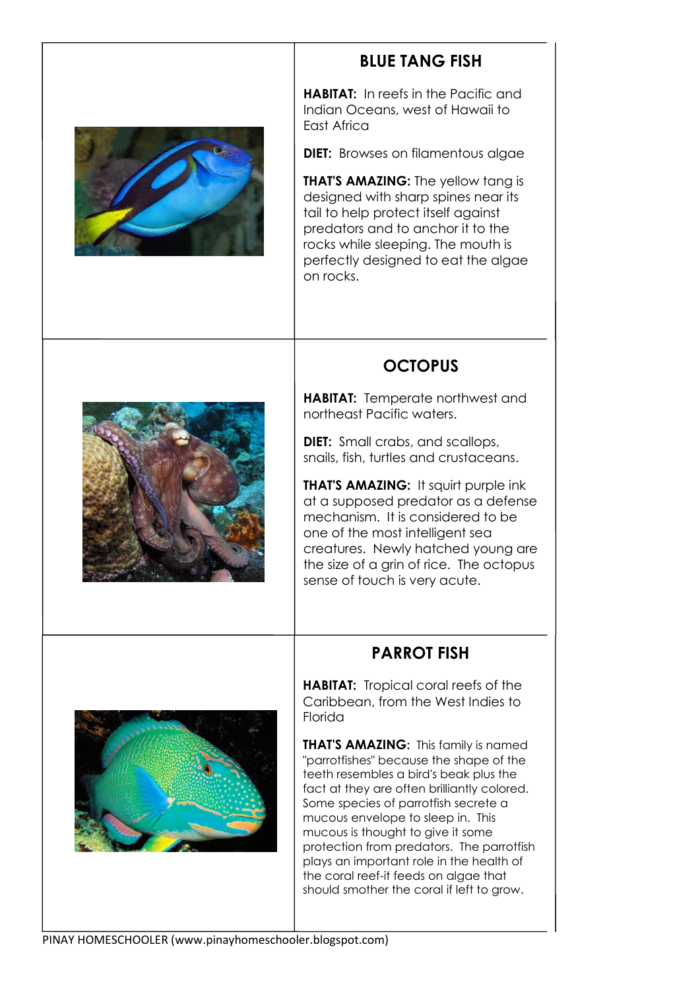

# **BLUE TANG FISH**

**HABITAT:** In reefs in the Pacific and Indian Oceans, west of Hawaii to East Africa

**DIET:** Browses on filamentous algae

**THAT'S AMAZING:** The yellow tang is designed with sharp spines near its tail to help protect itself against predators and to anchor it to the rocks while sleeping. The mouth is perfectly designed to eat the algae on rocks.

## **OCTOPUS**

**HABITAT:** Temperate northwest and northeast Pacific waters.

**DIET:** Small crabs, and scallops, snails, fish, turtles and crustaceans.

**THAT'S AMAZING:** It squirt purple ink at a supposed predator as a defense mechanism. It is considered to be one of the most intelligent sea creatures. Newly hatched young are the size of a grin of rice. The octopus sense of touch is very acute.

## **PARROT FISH**



**HABITAT:** Tropical coral reefs of the Caribbean, from the West Indies to Florida

**THAT'S AMAZING:** This family is named "parrotfishes" because the shape of the teeth resembles a bird's beak plus the fact at they are often brilliantly colored. Some species of parrotfish secrete a mucous envelope to sleep in. This mucous is thought to give it some protection from predators. The parrotfish plays an important role in the health of the coral reef-it feeds on algae that should smother the coral if left to grow.